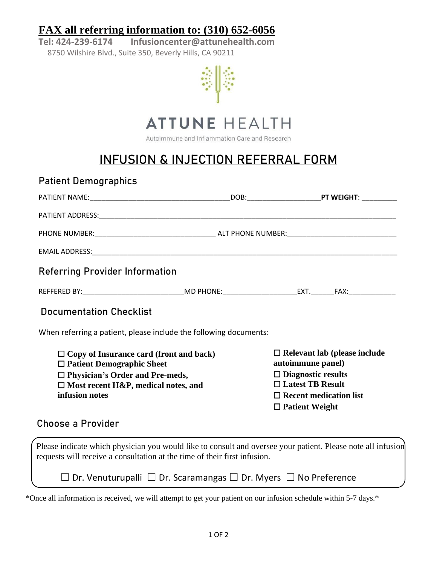## **FAX all referring information to: (310) 652-6056**

**Tel: 424-239-6174 Infusioncenter@attunehealth.com** 8750 Wilshire Blvd., Suite 350, Beverly Hills, CA 90211





Autoimmune and Inflammation Care and Research

## **INFUSION & INJECTION REFERRAL FORM**

| <b>Referring Provider Information</b>                        |                                                                   |                                                          |  |
|--------------------------------------------------------------|-------------------------------------------------------------------|----------------------------------------------------------|--|
|                                                              |                                                                   |                                                          |  |
| <b>Documentation Checklist</b>                               |                                                                   |                                                          |  |
|                                                              | When referring a patient, please include the following documents: |                                                          |  |
|                                                              |                                                                   |                                                          |  |
| $\Box$ Patient Demographic Sheet                             | $\Box$ Copy of Insurance card (front and back)                    | $\Box$ Relevant lab (please include<br>autoimmune panel) |  |
| $\Box$ Physician's Order and Pre-meds,                       |                                                                   | $\Box$ Diagnostic results<br>$\Box$ Latest TB Result     |  |
| $\Box$ Most recent H&P, medical notes, and<br>infusion notes |                                                                   | $\Box$ Recent medication list<br>$\Box$ Patient Weight   |  |
| <b>Choose a Provider</b>                                     |                                                                   |                                                          |  |

\*Once all information is received, we will attempt to get your patient on our infusion schedule within 5-7 days.\*

☐ Dr. Venuturupalli ☐ Dr. Scaramangas ☐ Dr. Myers ☐ No Preference